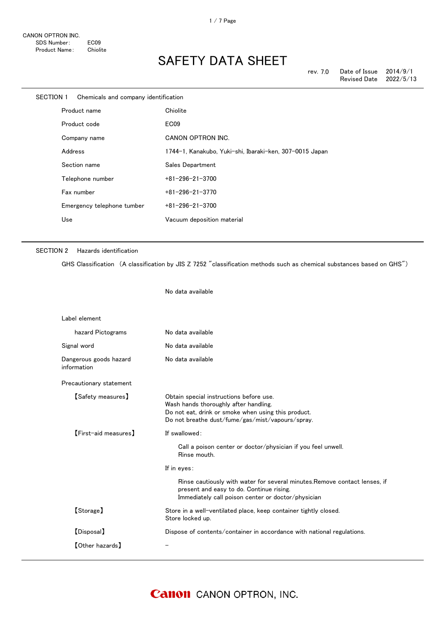| <b>SECTION 1</b> |         | Chemicals and company identification |                                                         |
|------------------|---------|--------------------------------------|---------------------------------------------------------|
|                  |         | Product name                         | Chiolite                                                |
|                  |         | Product code                         | EC <sub>09</sub>                                        |
|                  |         | Company name                         | CANON OPTRON INC.                                       |
|                  | Address |                                      | 1744-1, Kanakubo, Yuki-shi, Ibaraki-ken, 307-0015 Japan |
|                  |         | Section name                         | Sales Department                                        |
|                  |         | Telephone number                     | $+81 - 296 - 21 - 3700$                                 |
|                  |         | Fax number                           | $+81 - 296 - 21 - 3770$                                 |
|                  |         | Emergency telephone tumber           | $+81 - 296 - 21 - 3700$                                 |
|                  | Use     |                                      | Vacuum deposition material                              |
|                  |         |                                      |                                                         |

No data available

#### SECTION 2 Hazards identification

GHS Classification (A classification by JIS Z 7252 "classification methods such as chemical substances based on GHS")

Label element hazard Pictograms No data available Signal word **No data available** Dangerous goods hazard information No data available Precautionary statement 【Safety measures】 Obtain special instructions before use. Wash hands thoroughly after handling. Do not eat, drink or smoke when using this product. Do not breathe dust/fume/gas/mist/vapours/spray. 【First-aid measures】 If swallowed: Call a poison center or doctor/physician if you feel unwell. Rinse mouth. If in eyes: Rinse cautiously with water for several minutes.Remove contact lenses, if present and easy to do. Continue rising. Immediately call poison center or doctor/physician 【Storage】 Store in a well-ventilated place, keep container tightly closed. Store locked up. 【Disposal】 Dispose of contents/container in accordance with national regulations. 【Other hazards】 -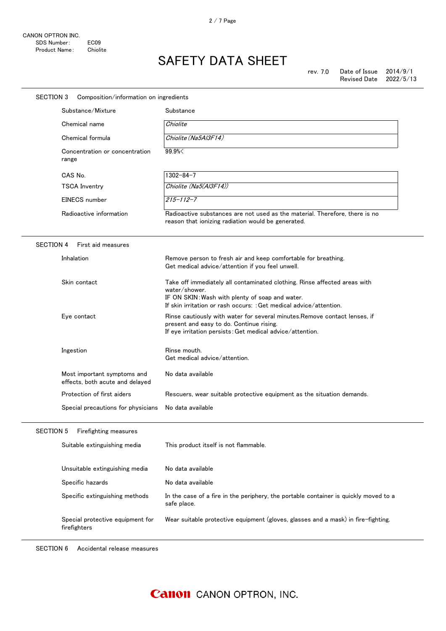| <b>SECTION 3</b><br>Composition/information on ingredients  |                                                                |                                                                                                                                                                                                                     |  |  |
|-------------------------------------------------------------|----------------------------------------------------------------|---------------------------------------------------------------------------------------------------------------------------------------------------------------------------------------------------------------------|--|--|
|                                                             | Substance/Mixture                                              | Substance                                                                                                                                                                                                           |  |  |
|                                                             | Chemical name                                                  | Chiolite                                                                                                                                                                                                            |  |  |
| Chemical formula<br>Concentration or concentration<br>range |                                                                | Chiolite (Na5AI3F14)                                                                                                                                                                                                |  |  |
|                                                             |                                                                | 99.9%                                                                                                                                                                                                               |  |  |
|                                                             | CAS No.                                                        | $1302 - 84 - 7$                                                                                                                                                                                                     |  |  |
|                                                             | <b>TSCA Inventry</b>                                           | Chiolite (Na5(Al3F14))                                                                                                                                                                                              |  |  |
|                                                             | <b>EINECS</b> number                                           | $215 - 112 - 7$                                                                                                                                                                                                     |  |  |
|                                                             | Radioactive information                                        | Radioactive substances are not used as the material. Therefore, there is no<br>reason that ionizing radiation would be generated.                                                                                   |  |  |
| <b>SECTION 4</b>                                            | First aid measures                                             |                                                                                                                                                                                                                     |  |  |
|                                                             | Inhalation                                                     | Remove person to fresh air and keep comfortable for breathing.<br>Get medical advice/attention if you feel unwell.                                                                                                  |  |  |
|                                                             | Skin contact                                                   | Take off immediately all contaminated clothing. Rinse affected areas with<br>water/shower.<br>IF ON SKIN: Wash with plenty of soap and water.<br>If skin irritation or rash occurs: : Get medical advice/attention. |  |  |
|                                                             | Eye contact                                                    | Rinse cautiously with water for several minutes. Remove contact lenses, if<br>present and easy to do. Continue rising.<br>If eye irritation persists: Get medical advice/attention.                                 |  |  |
|                                                             | Ingestion                                                      | Rinse mouth.<br>Get medical advice/attention.                                                                                                                                                                       |  |  |
|                                                             | Most important symptoms and<br>effects, both acute and delayed | No data available                                                                                                                                                                                                   |  |  |
|                                                             | Protection of first aiders                                     | Rescuers, wear suitable protective equipment as the situation demands.                                                                                                                                              |  |  |
|                                                             | Special precautions for physicians                             | No data available                                                                                                                                                                                                   |  |  |
| <b>SECTION 5</b>                                            | Firefighting measures                                          |                                                                                                                                                                                                                     |  |  |
|                                                             | Suitable extinguishing media                                   | This product itself is not flammable.                                                                                                                                                                               |  |  |
|                                                             | Unsuitable extinguishing media                                 | No data available                                                                                                                                                                                                   |  |  |
|                                                             | Specific hazards                                               | No data available                                                                                                                                                                                                   |  |  |
|                                                             | Specific extinguishing methods                                 | In the case of a fire in the periphery, the portable container is quickly moved to a<br>safe place.                                                                                                                 |  |  |
|                                                             | Special protective equipment for<br>firefighters               | Wear suitable protective equipment (gloves, glasses and a mask) in fire-fighting.                                                                                                                                   |  |  |

SECTION 6 Accidental release measures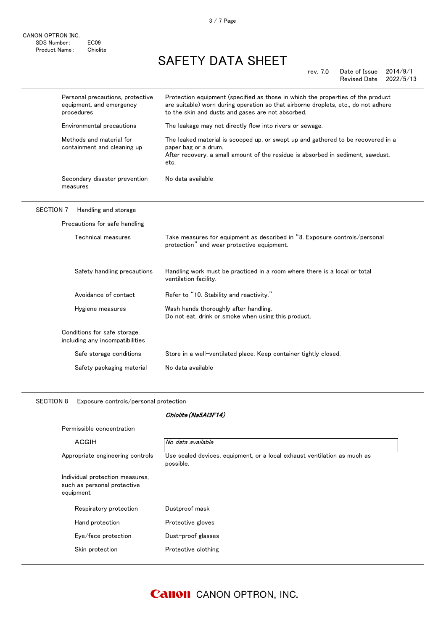|                  | Personal precautions, protective<br>equipment, and emergency<br>procedures | Protection equipment (specified as those in which the properties of the product<br>are suitable) worn during operation so that airborne droplets, etc., do not adhere<br>to the skin and dusts and gases are not absorbed. |
|------------------|----------------------------------------------------------------------------|----------------------------------------------------------------------------------------------------------------------------------------------------------------------------------------------------------------------------|
|                  | Environmental precautions                                                  | The leakage may not directly flow into rivers or sewage.                                                                                                                                                                   |
|                  | Methods and material for<br>containment and cleaning up                    | The leaked material is scooped up, or swept up and gathered to be recovered in a<br>paper bag or a drum.<br>After recovery, a small amount of the residue is absorbed in sediment, sawdust,<br>etc.                        |
|                  | Secondary disaster prevention<br>measures                                  | No data available                                                                                                                                                                                                          |
| <b>SECTION 7</b> | Handling and storage                                                       |                                                                                                                                                                                                                            |
|                  | Precautions for safe handling                                              |                                                                                                                                                                                                                            |
|                  | Technical measures                                                         | Take measures for equipment as described in "8. Exposure controls/personal<br>protection" and wear protective equipment.                                                                                                   |
|                  | Safety handling precautions                                                | Handling work must be practiced in a room where there is a local or total<br>ventilation facility.                                                                                                                         |
|                  | Avoidance of contact                                                       | Refer to "10. Stability and reactivity."                                                                                                                                                                                   |
|                  | Hygiene measures                                                           | Wash hands thoroughly after handling.<br>Do not eat, drink or smoke when using this product.                                                                                                                               |
|                  | Conditions for safe storage,<br>including any incompatibilities            |                                                                                                                                                                                                                            |
|                  | Safe storage conditions                                                    | Store in a well-ventilated place. Keep container tightly closed.                                                                                                                                                           |
|                  | Safety packaging material                                                  | No data available                                                                                                                                                                                                          |
|                  |                                                                            |                                                                                                                                                                                                                            |

SECTION 8 Exposure controls/personal protection

CANON OPTRON INC.

SDS Number: EC09 Product Name: Chiolite

#### Chiolite(Na5Al3F14)

| Permissible concentration                                                   |                                                                                       |  |
|-----------------------------------------------------------------------------|---------------------------------------------------------------------------------------|--|
| ACGIH                                                                       | No data available                                                                     |  |
| Appropriate engineering controls                                            | Use sealed devices, equipment, or a local exhaust ventilation as much as<br>possible. |  |
| Individual protection measures,<br>such as personal protective<br>equipment |                                                                                       |  |
| Respiratory protection                                                      | Dustproof mask                                                                        |  |
| Hand protection                                                             | Protective gloves                                                                     |  |
| Eye/face protection                                                         | Dust-proof glasses                                                                    |  |
| Skin protection                                                             | Protective clothing                                                                   |  |
|                                                                             |                                                                                       |  |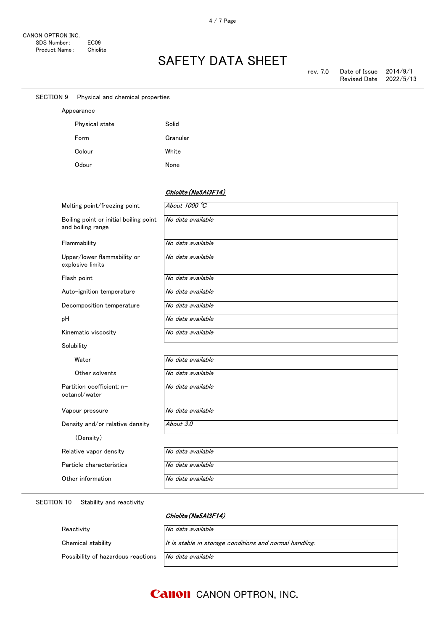| <b>SECTION 9</b><br>Physical and chemical properties        |                      |  |
|-------------------------------------------------------------|----------------------|--|
| Appearance                                                  |                      |  |
| Physical state                                              | Solid                |  |
| Form                                                        | Granular             |  |
| Colour                                                      | White                |  |
| Odour                                                       | None                 |  |
|                                                             |                      |  |
|                                                             | Chiolite (Na5AI3F14) |  |
| Melting point/freezing point                                | About 1000 °C        |  |
| Boiling point or initial boiling point<br>and boiling range | No data available    |  |
| Flammability                                                | No data available    |  |
| Upper/lower flammability or<br>explosive limits             | No data available    |  |
| Flash point                                                 | No data available    |  |
| Auto-ignition temperature                                   | No data available    |  |
| Decomposition temperature                                   | No data available    |  |
| pH                                                          | No data available    |  |
| Kinematic viscosity                                         | No data available    |  |
| Solubility                                                  |                      |  |
| Water                                                       | No data available    |  |
| Other solvents                                              | No data available    |  |
| Partition coefficient: n-<br>octanol/water                  | No data available    |  |
| Vapour pressure                                             | No data available    |  |
| Density and/or relative density                             | About 3.0            |  |
| (Density)                                                   |                      |  |
| Relative vapor density                                      | No data available    |  |
| Particle characteristics                                    | No data available    |  |
| Other information                                           | No data available    |  |
|                                                             |                      |  |

#### SECTION 10 Stability and reactivity

### Chiolite (Na5Al3F14)

| Reactivity                         | No data available                                       |
|------------------------------------|---------------------------------------------------------|
| Chemical stability                 | It is stable in storage conditions and normal handling. |
| Possibility of hazardous reactions | No data available                                       |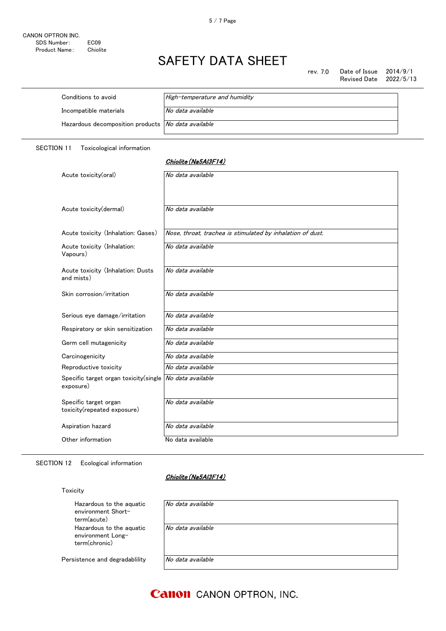rev. 7.0 Date of Issue 2014/9/1<br>Revised Date 2022/5/13 Revised Date

| Conditions to avoid                                       | High-temperature and humidity |
|-----------------------------------------------------------|-------------------------------|
| Incompatible materials                                    | No data available             |
| Hazardous decomposition products <i>No data available</i> |                               |

SECTION 11 Toxicological information

#### Chiolite(Na5Al3F14)

| Acute toxicity(oral)                                 | No data available                                          |
|------------------------------------------------------|------------------------------------------------------------|
| Acute toxicity(dermal)                               | No data available                                          |
| Acute toxicity (Inhalation: Gases)                   | Nose, throat, trachea is stimulated by inhalation of dust. |
| Acute toxicity (Inhalation:<br>Vapours)              | No data available                                          |
| Acute toxicity (Inhalation: Dusts<br>and mists)      | No data available                                          |
| Skin corrosion/irritation                            | No data available                                          |
| Serious eye damage/irritation                        | No data available                                          |
| Respiratory or skin sensitization                    | No data available                                          |
| Germ cell mutagenicity                               | No data available                                          |
| Carcinogenicity                                      | No data available                                          |
| Reproductive toxicity                                | No data available                                          |
| Specific target organ toxicity (single<br>exposure)  | No data available                                          |
| Specific target organ<br>toxicity(repeated exposure) | No data available                                          |
| Aspiration hazard                                    | No data available                                          |
| Other information                                    | No data available                                          |

### SECTION 12 Ecological information

### Chiolite(Na5Al3F14)

#### Toxicity

| Hazardous to the aquatic<br>environment Short-<br>term(acute)  | No data available |
|----------------------------------------------------------------|-------------------|
| Hazardous to the aquatic<br>environment Long-<br>term(chronic) | No data available |
| Persistence and degradablility                                 | No data available |

### **Canon** CANON OPTRON, INC.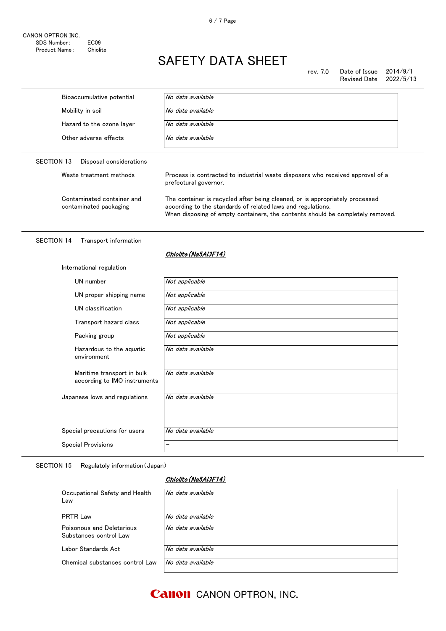rev. 7.0 Date of Issue 2014/9/1<br>Revised Date 2022/5/13 Revised Date

|            | Bioaccumulative potential | No data available                                                                                       |
|------------|---------------------------|---------------------------------------------------------------------------------------------------------|
|            | Mobility in soil          | No data available                                                                                       |
|            | Hazard to the ozone layer | No data available                                                                                       |
|            | Other adverse effects     | No data available                                                                                       |
| SECTION 13 | Disposal considerations   |                                                                                                         |
|            | Waste treatment methods   | Process is contracted to industrial waste disposers who received approval of a<br>prefectural governor. |
|            |                           |                                                                                                         |

#### SECTION 14 Transport information

#### Chiolite (Na5AI3F14)

|  | International regulation |
|--|--------------------------|
|  |                          |

| UN number                                                  | Not applicable    |
|------------------------------------------------------------|-------------------|
| UN proper shipping name                                    | Not applicable    |
| UN classification                                          | Not applicable    |
| Transport hazard class                                     | Not applicable    |
| Packing group                                              | Not applicable    |
| Hazardous to the aquatic<br>environment                    | No data available |
| Maritime transport in bulk<br>according to IMO instruments | No data available |
| Japanese lows and regulations                              | No data available |
| Special precautions for users                              | No data available |
|                                                            |                   |
| <b>Special Provisions</b>                                  | -                 |

SECTION 15 Regulatoly information(Japan)

### Chiolite(Na5Al3F14)

| Occupational Safety and Health<br>Law               | No data available |
|-----------------------------------------------------|-------------------|
| <b>PRTR Law</b>                                     | No data available |
| Poisonous and Deleterious<br>Substances control Law | No data available |
| Labor Standards Act                                 | No data available |
| Chemical substances control Law                     | No data available |

**Canon** CANON OPTRON, INC.